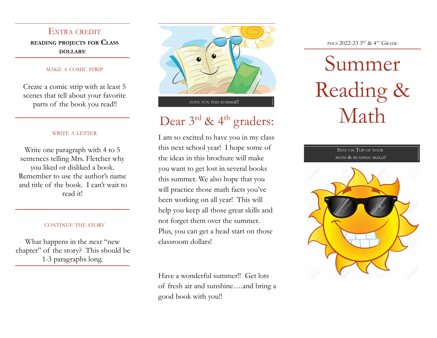EXTRA CREDIT **READING PROJECTS FOR CLASS DOLLARS**!

#### MAKE A COMIC STRIP

Create a comic strip with at least 5 scenes that tell about your favorite parts of the book you read!!

### WRITE A LETTER

Write one paragraph with 4 to 5 sentences telling Mrs. Fletcher why you liked or disliked a book. Remember to use the author's name and title of the book. I can't wait to read it!

### CONTINUE THE STORY

What happens in the next "new chapter" of the story? This should be 1-3 paragraphs long.



## Dear  $3^{\text{rd}}$  & 4<sup>th</sup> graders:

I am so excited to have you in my class this next school year! I hope some of the ideas in this brochure will make you want to get lost in several books this summer. We also hope that you will practice those math facts you've been working on all year! This will help you keep all those great skills and not forget them over the summer. Plus, you can get a head start on those classroom dollars!

Have a wonderful summer!! Get lots of fresh air and sunshine….and bring a good book with you!!

PHCS 2022-23 3<sup>rd</sup> & 4<sup>th</sup> Grade

# Summer Reading & Math